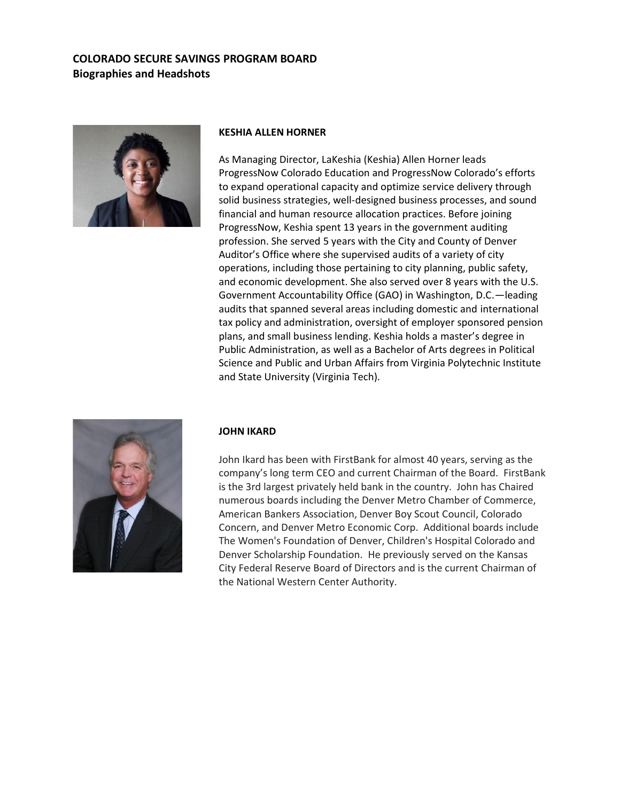

#### **KESHIA ALLEN HORNER**

As Managing Director, LaKeshia (Keshia) Allen Horner leads ProgressNow Colorado Education and ProgressNow Colorado's efforts to expand operational capacity and optimize service delivery through solid business strategies, well-designed business processes, and sound financial and human resource allocation practices. Before joining ProgressNow, Keshia spent 13 years in the government auditing profession. She served 5 years with the City and County of Denver Auditor's Office where she supervised audits of a variety of city operations, including those pertaining to city planning, public safety, and economic development. She also served over 8 years with the U.S. Government Accountability Office (GAO) in Washington, D.C.—leading audits that spanned several areas including domestic and international tax policy and administration, oversight of employer sponsored pension plans, and small business lending. Keshia holds a master's degree in Public Administration, as well as a Bachelor of Arts degrees in Political Science and Public and Urban Affairs from Virginia Polytechnic Institute and State University (Virginia Tech).



#### **JOHN IKARD**

John Ikard has been with FirstBank for almost 40 years, serving as the company's long term CEO and current Chairman of the Board. FirstBank is the 3rd largest privately held bank in the country. John has Chaired numerous boards including the Denver Metro Chamber of Commerce, American Bankers Association, Denver Boy Scout Council, Colorado Concern, and Denver Metro Economic Corp. Additional boards include The Women's Foundation of Denver, Children's Hospital Colorado and Denver Scholarship Foundation. He previously served on the Kansas City Federal Reserve Board of Directors and is the current Chairman of the National Western Center Authority.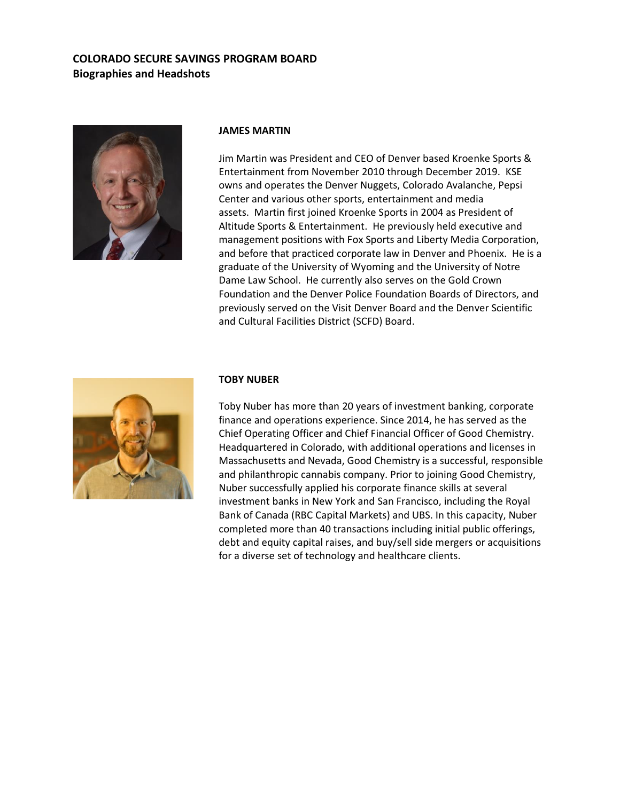

#### **JAMES MARTIN**

Jim Martin was President and CEO of Denver based Kroenke Sports & Entertainment from November 2010 through December 2019. KSE owns and operates the Denver Nuggets, Colorado Avalanche, Pepsi Center and various other sports, entertainment and media assets. Martin first joined Kroenke Sports in 2004 as President of Altitude Sports & Entertainment. He previously held executive and management positions with Fox Sports and Liberty Media Corporation, and before that practiced corporate law in Denver and Phoenix. He is a graduate of the University of Wyoming and the University of Notre Dame Law School. He currently also serves on the Gold Crown Foundation and the Denver Police Foundation Boards of Directors, and previously served on the Visit Denver Board and the Denver Scientific and Cultural Facilities District (SCFD) Board.



### **TOBY NUBER**

Toby Nuber has more than 20 years of investment banking, corporate finance and operations experience. Since 2014, he has served as the Chief Operating Officer and Chief Financial Officer of Good Chemistry. Headquartered in Colorado, with additional operations and licenses in Massachusetts and Nevada, Good Chemistry is a successful, responsible and philanthropic cannabis company. Prior to joining Good Chemistry, Nuber successfully applied his corporate finance skills at several investment banks in New York and San Francisco, including the Royal Bank of Canada (RBC Capital Markets) and UBS. In this capacity, Nuber completed more than 40 transactions including initial public offerings, debt and equity capital raises, and buy/sell side mergers or acquisitions for a diverse set of technology and healthcare clients.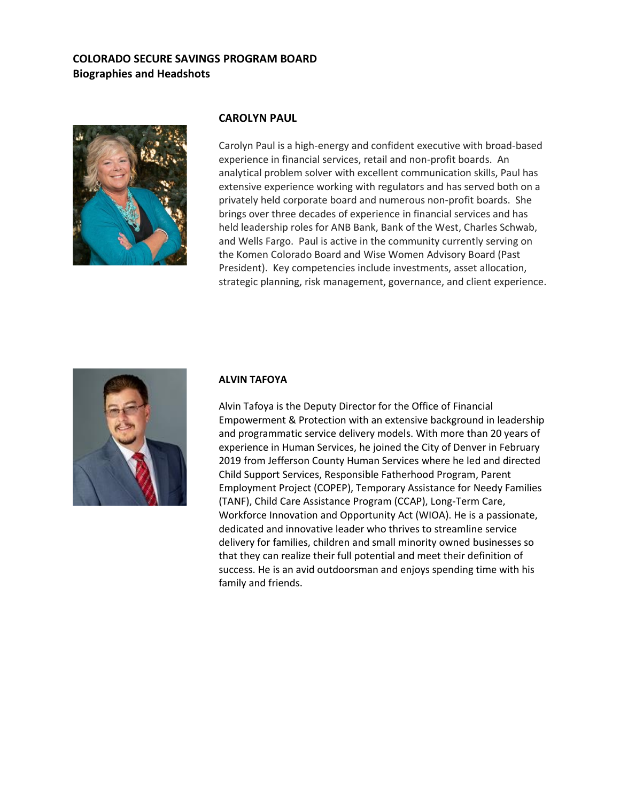

## **CAROLYN PAUL**

Carolyn Paul is a high-energy and confident executive with broad-based experience in financial services, retail and non-profit boards. An analytical problem solver with excellent communication skills, Paul has extensive experience working with regulators and has served both on a privately held corporate board and numerous non-profit boards. She brings over three decades of experience in financial services and has held leadership roles for ANB Bank, Bank of the West, Charles Schwab, and Wells Fargo. Paul is active in the community currently serving on the Komen Colorado Board and Wise Women Advisory Board (Past President). Key competencies include investments, asset allocation, strategic planning, risk management, governance, and client experience.



### **ALVIN TAFOYA**

Alvin Tafoya is the Deputy Director for the Office of Financial Empowerment & Protection with an extensive background in leadership and programmatic service delivery models. With more than 20 years of experience in Human Services, he joined the City of Denver in February 2019 from Jefferson County Human Services where he led and directed Child Support Services, Responsible Fatherhood Program, Parent Employment Project (COPEP), Temporary Assistance for Needy Families (TANF), Child Care Assistance Program (CCAP), Long-Term Care, Workforce Innovation and Opportunity Act (WIOA). He is a passionate, dedicated and innovative leader who thrives to streamline service delivery for families, children and small minority owned businesses so that they can realize their full potential and meet their definition of success. He is an avid outdoorsman and enjoys spending time with his family and friends.